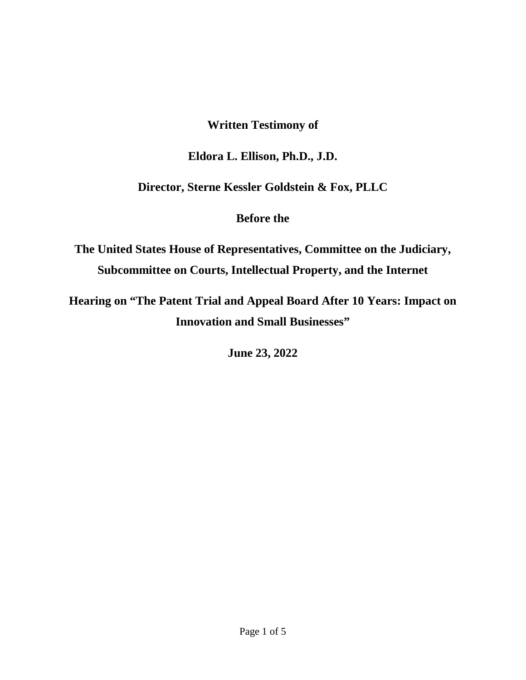## **Written Testimony of**

## **Eldora L. Ellison, Ph.D., J.D.**

## **Director, Sterne Kessler Goldstein & Fox, PLLC**

## **Before the**

**The United States House of Representatives, Committee on the Judiciary, Subcommittee on Courts, Intellectual Property, and the Internet** 

**Hearing on "The Patent Trial and Appeal Board After 10 Years: Impact on Innovation and Small Businesses"** 

**June 23, 2022**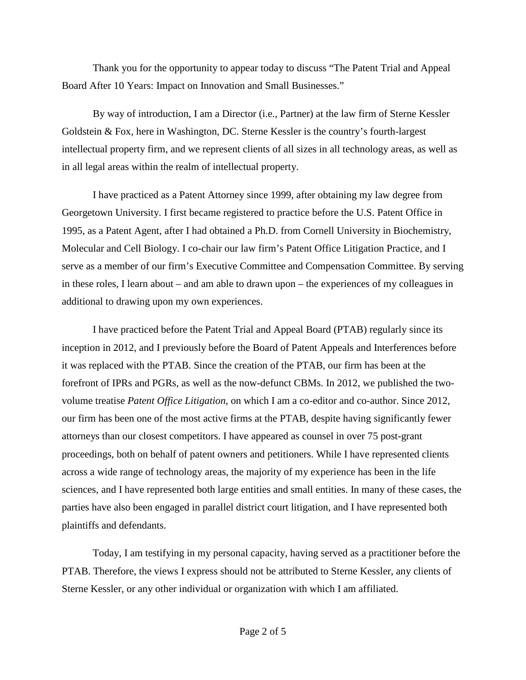Thank you for the opportunity to appear today to discuss "The Patent Trial and Appeal Board After 10 Years: Impact on Innovation and Small Businesses."

By way of introduction, I am a Director (i.e., Partner) at the law firm of Sterne Kessler Goldstein & Fox, here in Washington, DC. Sterne Kessler is the country's fourth-largest intellectual property firm, and we represent clients of all sizes in all technology areas, as well as in all legal areas within the realm of intellectual property.

I have practiced as a Patent Attorney since 1999, after obtaining my law degree from Georgetown University. I first became registered to practice before the U.S. Patent Office in 1995, as a Patent Agent, after I had obtained a Ph.D. from Cornell University in Biochemistry, Molecular and Cell Biology. I co-chair our law firm's Patent Office Litigation Practice, and I serve as a member of our firm's Executive Committee and Compensation Committee. By serving in these roles, I learn about – and am able to drawn upon – the experiences of my colleagues in additional to drawing upon my own experiences.

I have practiced before the Patent Trial and Appeal Board (PTAB) regularly since its inception in 2012, and I previously before the Board of Patent Appeals and Interferences before it was replaced with the PTAB. Since the creation of the PTAB, our firm has been at the forefront of IPRs and PGRs, as well as the now-defunct CBMs. In 2012, we published the twovolume treatise *Patent Office Litigation,* on which I am a co-editor and co-author. Since 2012, our firm has been one of the most active firms at the PTAB, despite having significantly fewer attorneys than our closest competitors. I have appeared as counsel in over 75 post-grant proceedings, both on behalf of patent owners and petitioners. While I have represented clients across a wide range of technology areas, the majority of my experience has been in the life sciences, and I have represented both large entities and small entities. In many of these cases, the parties have also been engaged in parallel district court litigation, and I have represented both plaintiffs and defendants.

Today, I am testifying in my personal capacity, having served as a practitioner before the PTAB. Therefore, the views I express should not be attributed to Sterne Kessler, any clients of Sterne Kessler, or any other individual or organization with which I am affiliated.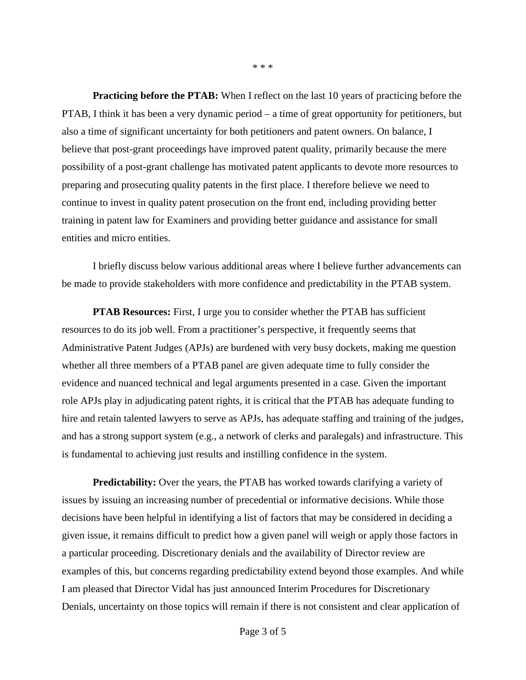**Practicing before the PTAB:** When I reflect on the last 10 years of practicing before the PTAB, I think it has been a very dynamic period – a time of great opportunity for petitioners, but also a time of significant uncertainty for both petitioners and patent owners. On balance, I believe that post-grant proceedings have improved patent quality, primarily because the mere possibility of a post-grant challenge has motivated patent applicants to devote more resources to preparing and prosecuting quality patents in the first place. I therefore believe we need to continue to invest in quality patent prosecution on the front end, including providing better training in patent law for Examiners and providing better guidance and assistance for small entities and micro entities.

I briefly discuss below various additional areas where I believe further advancements can be made to provide stakeholders with more confidence and predictability in the PTAB system.

**PTAB Resources:** First, I urge you to consider whether the PTAB has sufficient resources to do its job well. From a practitioner's perspective, it frequently seems that Administrative Patent Judges (APJs) are burdened with very busy dockets, making me question whether all three members of a PTAB panel are given adequate time to fully consider the evidence and nuanced technical and legal arguments presented in a case. Given the important role APJs play in adjudicating patent rights, it is critical that the PTAB has adequate funding to hire and retain talented lawyers to serve as APJs, has adequate staffing and training of the judges, and has a strong support system (e.g., a network of clerks and paralegals) and infrastructure. This is fundamental to achieving just results and instilling confidence in the system.

**Predictability:** Over the years, the PTAB has worked towards clarifying a variety of issues by issuing an increasing number of precedential or informative decisions. While those decisions have been helpful in identifying a list of factors that may be considered in deciding a given issue, it remains difficult to predict how a given panel will weigh or apply those factors in a particular proceeding. Discretionary denials and the availability of Director review are examples of this, but concerns regarding predictability extend beyond those examples. And while I am pleased that Director Vidal has just announced Interim Procedures for Discretionary Denials, uncertainty on those topics will remain if there is not consistent and clear application of

\* \* \*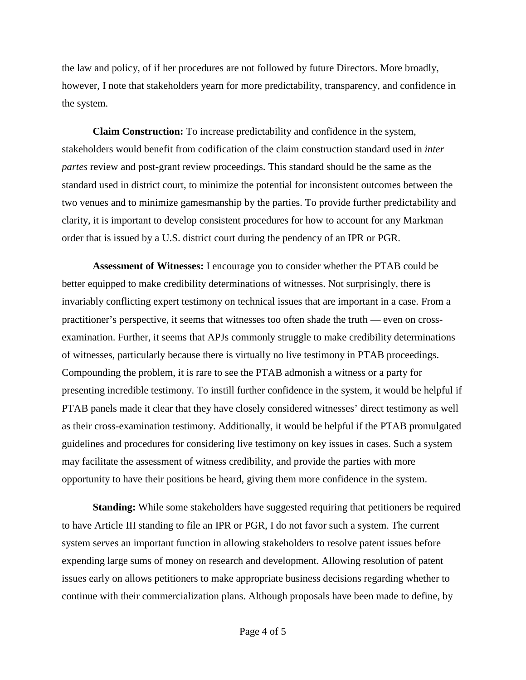the law and policy, of if her procedures are not followed by future Directors. More broadly, however, I note that stakeholders yearn for more predictability, transparency, and confidence in the system.

**Claim Construction:** To increase predictability and confidence in the system, stakeholders would benefit from codification of the claim construction standard used in *inter partes* review and post-grant review proceedings. This standard should be the same as the standard used in district court, to minimize the potential for inconsistent outcomes between the two venues and to minimize gamesmanship by the parties. To provide further predictability and clarity, it is important to develop consistent procedures for how to account for any Markman order that is issued by a U.S. district court during the pendency of an IPR or PGR.

**Assessment of Witnesses:** I encourage you to consider whether the PTAB could be better equipped to make credibility determinations of witnesses. Not surprisingly, there is invariably conflicting expert testimony on technical issues that are important in a case. From a practitioner's perspective, it seems that witnesses too often shade the truth — even on crossexamination. Further, it seems that APJs commonly struggle to make credibility determinations of witnesses, particularly because there is virtually no live testimony in PTAB proceedings. Compounding the problem, it is rare to see the PTAB admonish a witness or a party for presenting incredible testimony. To instill further confidence in the system, it would be helpful if PTAB panels made it clear that they have closely considered witnesses' direct testimony as well as their cross-examination testimony. Additionally, it would be helpful if the PTAB promulgated guidelines and procedures for considering live testimony on key issues in cases. Such a system may facilitate the assessment of witness credibility, and provide the parties with more opportunity to have their positions be heard, giving them more confidence in the system.

**Standing:** While some stakeholders have suggested requiring that petitioners be required to have Article III standing to file an IPR or PGR, I do not favor such a system. The current system serves an important function in allowing stakeholders to resolve patent issues before expending large sums of money on research and development. Allowing resolution of patent issues early on allows petitioners to make appropriate business decisions regarding whether to continue with their commercialization plans. Although proposals have been made to define, by